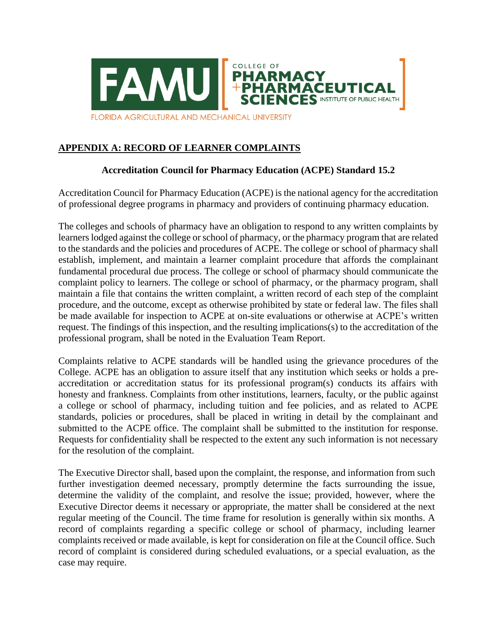

## **APPENDIX A: RECORD OF LEARNER COMPLAINTS**

## **Accreditation Council for Pharmacy Education (ACPE) Standard 15.2**

Accreditation Council for Pharmacy Education (ACPE) is the national agency for the accreditation of professional degree programs in pharmacy and providers of continuing pharmacy education.

The colleges and schools of pharmacy have an obligation to respond to any written complaints by learners lodged against the college or school of pharmacy, or the pharmacy program that are related to the standards and the policies and procedures of ACPE. The college or school of pharmacy shall establish, implement, and maintain a learner complaint procedure that affords the complainant fundamental procedural due process. The college or school of pharmacy should communicate the complaint policy to learners. The college or school of pharmacy, or the pharmacy program, shall maintain a file that contains the written complaint, a written record of each step of the complaint procedure, and the outcome, except as otherwise prohibited by state or federal law. The files shall be made available for inspection to ACPE at on-site evaluations or otherwise at ACPE's written request. The findings of this inspection, and the resulting implications(s) to the accreditation of the professional program, shall be noted in the Evaluation Team Report.

Complaints relative to ACPE standards will be handled using the grievance procedures of the College. ACPE has an obligation to assure itself that any institution which seeks or holds a preaccreditation or accreditation status for its professional program(s) conducts its affairs with honesty and frankness. Complaints from other institutions, learners, faculty, or the public against a college or school of pharmacy, including tuition and fee policies, and as related to ACPE standards, policies or procedures, shall be placed in writing in detail by the complainant and submitted to the ACPE office. The complaint shall be submitted to the institution for response. Requests for confidentiality shall be respected to the extent any such information is not necessary for the resolution of the complaint.

The Executive Director shall, based upon the complaint, the response, and information from such further investigation deemed necessary, promptly determine the facts surrounding the issue, determine the validity of the complaint, and resolve the issue; provided, however, where the Executive Director deems it necessary or appropriate, the matter shall be considered at the next regular meeting of the Council. The time frame for resolution is generally within six months. A record of complaints regarding a specific college or school of pharmacy, including learner complaints received or made available, is kept for consideration on file at the Council office. Such record of complaint is considered during scheduled evaluations, or a special evaluation, as the case may require.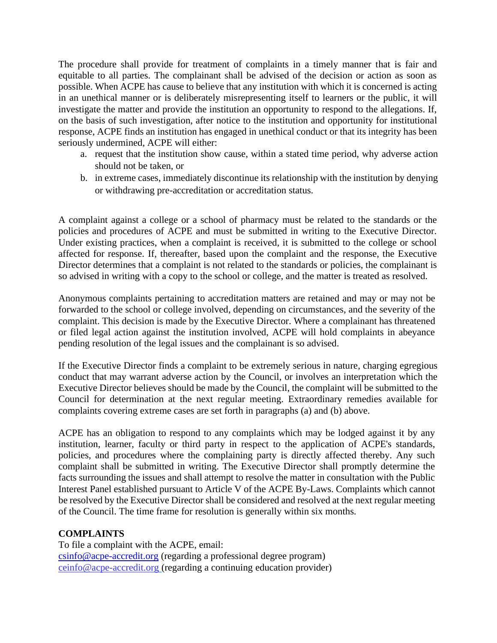The procedure shall provide for treatment of complaints in a timely manner that is fair and equitable to all parties. The complainant shall be advised of the decision or action as soon as possible. When ACPE has cause to believe that any institution with which it is concerned is acting in an unethical manner or is deliberately misrepresenting itself to learners or the public, it will investigate the matter and provide the institution an opportunity to respond to the allegations. If, on the basis of such investigation, after notice to the institution and opportunity for institutional response, ACPE finds an institution has engaged in unethical conduct or that its integrity has been seriously undermined, ACPE will either:

- a. request that the institution show cause, within a stated time period, why adverse action should not be taken, or
- b. in extreme cases, immediately discontinue its relationship with the institution by denying or withdrawing pre-accreditation or accreditation status.

A complaint against a college or a school of pharmacy must be related to the standards or the policies and procedures of ACPE and must be submitted in writing to the Executive Director. Under existing practices, when a complaint is received, it is submitted to the college or school affected for response. If, thereafter, based upon the complaint and the response, the Executive Director determines that a complaint is not related to the standards or policies, the complainant is so advised in writing with a copy to the school or college, and the matter is treated as resolved.

Anonymous complaints pertaining to accreditation matters are retained and may or may not be forwarded to the school or college involved, depending on circumstances, and the severity of the complaint. This decision is made by the Executive Director. Where a complainant has threatened or filed legal action against the institution involved, ACPE will hold complaints in abeyance pending resolution of the legal issues and the complainant is so advised.

If the Executive Director finds a complaint to be extremely serious in nature, charging egregious conduct that may warrant adverse action by the Council, or involves an interpretation which the Executive Director believes should be made by the Council, the complaint will be submitted to the Council for determination at the next regular meeting. Extraordinary remedies available for complaints covering extreme cases are set forth in paragraphs (a) and (b) above.

ACPE has an obligation to respond to any complaints which may be lodged against it by any institution, learner, faculty or third party in respect to the application of ACPE's standards, policies, and procedures where the complaining party is directly affected thereby. Any such complaint shall be submitted in writing. The Executive Director shall promptly determine the facts surrounding the issues and shall attempt to resolve the matter in consultation with the Public Interest Panel established pursuant to Article V of the ACPE By-Laws. Complaints which cannot be resolved by the Executive Director shall be considered and resolved at the next regular meeting of the Council. The time frame for resolution is generally within six months.

## **COMPLAINTS**

To file a complaint with the ACPE, email: [csinfo@acpe-accredit.org](mailto:csinfo@acpe-accredit.org) (regarding a professional degree program) [ceinfo@acpe-accredit.org](mailto:ceinfo@acpe-accredit.org) (regarding a continuing education provider)